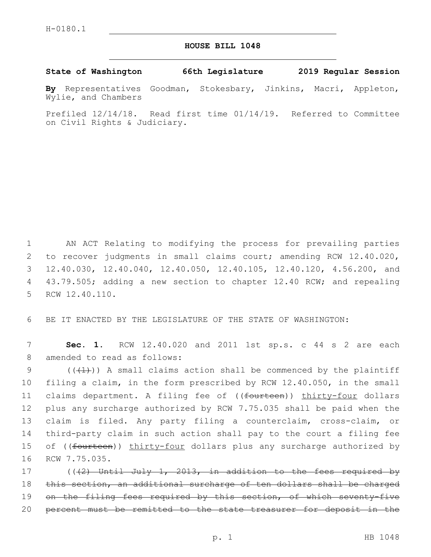## **HOUSE BILL 1048**

**State of Washington 66th Legislature 2019 Regular Session**

**By** Representatives Goodman, Stokesbary, Jinkins, Macri, Appleton, Wylie, and Chambers

Prefiled 12/14/18. Read first time 01/14/19. Referred to Committee on Civil Rights & Judiciary.

1 AN ACT Relating to modifying the process for prevailing parties 2 to recover judgments in small claims court; amending RCW 12.40.020, 3 12.40.030, 12.40.040, 12.40.050, 12.40.105, 12.40.120, 4.56.200, and 4 43.79.505; adding a new section to chapter 12.40 RCW; and repealing 5 RCW 12.40.110.

6 BE IT ENACTED BY THE LEGISLATURE OF THE STATE OF WASHINGTON:

7 **Sec. 1.** RCW 12.40.020 and 2011 1st sp.s. c 44 s 2 are each 8 amended to read as follows:

 $((+1))$  A small claims action shall be commenced by the plaintiff filing a claim, in the form prescribed by RCW 12.40.050, in the small 11 claims department. A filing fee of ((<del>fourteen</del>)) thirty-four dollars plus any surcharge authorized by RCW 7.75.035 shall be paid when the claim is filed. Any party filing a counterclaim, cross-claim, or third-party claim in such action shall pay to the court a filing fee 15 of ((<del>fourteen</del>)) thirty-four dollars plus any surcharge authorized by 16 RCW 7.75.035.

17 (((2) Until July 1, 2013, in addition to the fees required by 18 this section, an additional surcharge of ten dollars shall be charged 19 on the filing fees required by this section, of which seventy-five 20 percent must be remitted to the state treasurer for deposit in the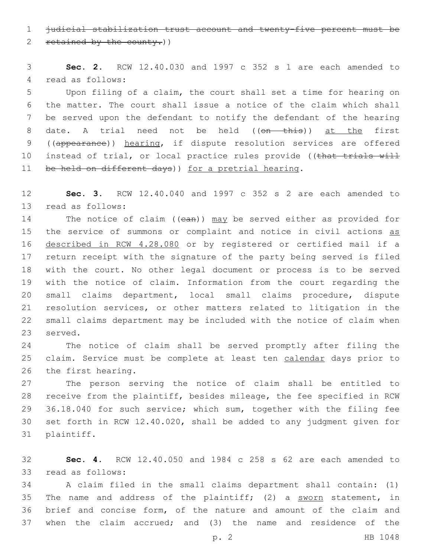judicial stabilization trust account and twenty-five percent must be

2 retained by the county.)

 **Sec. 2.** RCW 12.40.030 and 1997 c 352 s 1 are each amended to 4 read as follows:

 Upon filing of a claim, the court shall set a time for hearing on the matter. The court shall issue a notice of the claim which shall be served upon the defendant to notify the defendant of the hearing 8 date. A trial need not be held ((on this)) at the first ((appearance)) hearing, if dispute resolution services are offered 10 instead of trial, or local practice rules provide ((that trials will 11 be held on different days)) for a pretrial hearing.

 **Sec. 3.** RCW 12.40.040 and 1997 c 352 s 2 are each amended to 13 read as follows:

14 The notice of claim ((ean)) may be served either as provided for 15 the service of summons or complaint and notice in civil actions as described in RCW 4.28.080 or by registered or certified mail if a return receipt with the signature of the party being served is filed with the court. No other legal document or process is to be served with the notice of claim. Information from the court regarding the small claims department, local small claims procedure, dispute resolution services, or other matters related to litigation in the small claims department may be included with the notice of claim when 23 served.

 The notice of claim shall be served promptly after filing the 25 claim. Service must be complete at least ten calendar days prior to 26 the first hearing.

 The person serving the notice of claim shall be entitled to receive from the plaintiff, besides mileage, the fee specified in RCW 36.18.040 for such service; which sum, together with the filing fee set forth in RCW 12.40.020, shall be added to any judgment given for 31 plaintiff.

 **Sec. 4.** RCW 12.40.050 and 1984 c 258 s 62 are each amended to 33 read as follows:

 A claim filed in the small claims department shall contain: (1) 35 The name and address of the plaintiff; (2) a sworn statement, in brief and concise form, of the nature and amount of the claim and when the claim accrued; and (3) the name and residence of the

p. 2 HB 1048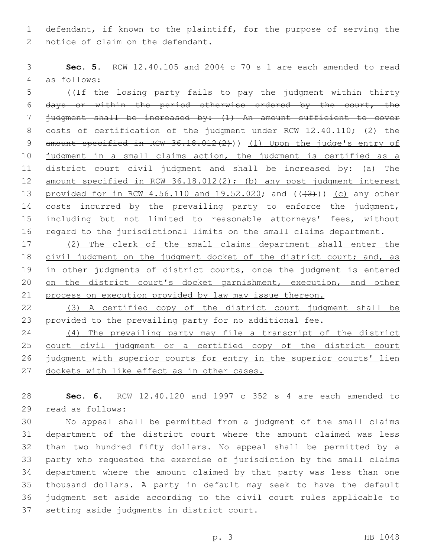1 defendant, if known to the plaintiff, for the purpose of serving the 2 notice of claim on the defendant.

3 **Sec. 5.** RCW 12.40.105 and 2004 c 70 s 1 are each amended to read as follows:4

5 ((If the losing party fails to pay the judgment within thirty 6 days or within the period otherwise ordered by the court, the 7 judgment shall be increased by: (1) An amount sufficient to cover 8 costs of certification of the judgment under RCW 12.40.110; (2) the 9 amount specified in RCW 36.18.012(2))) (1) Upon the judge's entry of 10 judgment in a small claims action, the judgment is certified as a 11 district court civil judgment and shall be increased by: (a) The 12 amount specified in RCW 36.18.012(2); (b) any post judgment interest 13 provided for in RCW 4.56.110 and 19.52.020; and (( $(3+)$ )) (c) any other 14 costs incurred by the prevailing party to enforce the judgment, 15 including but not limited to reasonable attorneys' fees, without 16 regard to the jurisdictional limits on the small claims department.

17 (2) The clerk of the small claims department shall enter the 18 civil judgment on the judgment docket of the district court; and, as 19 in other judgments of district courts, once the judgment is entered 20 on the district court's docket garnishment, execution, and other 21 process on execution provided by law may issue thereon.

22 (3) A certified copy of the district court judgment shall be 23 provided to the prevailing party for no additional fee.

 (4) The prevailing party may file a transcript of the district court civil judgment or a certified copy of the district court judgment with superior courts for entry in the superior courts' lien 27 dockets with like effect as in other cases.

28 **Sec. 6.** RCW 12.40.120 and 1997 c 352 s 4 are each amended to 29 read as follows:

 No appeal shall be permitted from a judgment of the small claims department of the district court where the amount claimed was less than two hundred fifty dollars. No appeal shall be permitted by a party who requested the exercise of jurisdiction by the small claims department where the amount claimed by that party was less than one thousand dollars. A party in default may seek to have the default 36 judgment set aside according to the civil court rules applicable to 37 setting aside judgments in district court.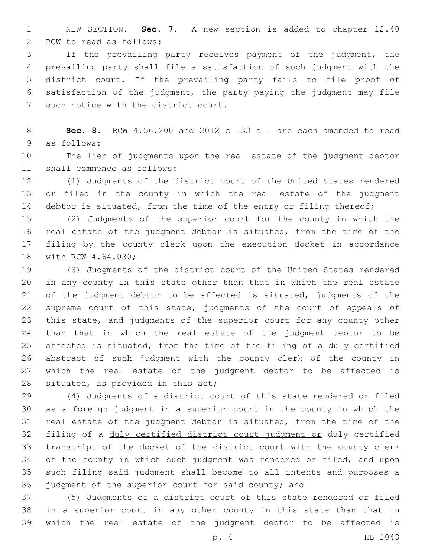NEW SECTION. **Sec. 7.** A new section is added to chapter 12.40 2 RCW to read as follows:

 If the prevailing party receives payment of the judgment, the prevailing party shall file a satisfaction of such judgment with the district court. If the prevailing party fails to file proof of satisfaction of the judgment, the party paying the judgment may file 7 such notice with the district court.

 **Sec. 8.** RCW 4.56.200 and 2012 c 133 s 1 are each amended to read 9 as follows:

 The lien of judgments upon the real estate of the judgment debtor 11 shall commence as follows:

 (1) Judgments of the district court of the United States rendered or filed in the county in which the real estate of the judgment 14 debtor is situated, from the time of the entry or filing thereof;

 (2) Judgments of the superior court for the county in which the real estate of the judgment debtor is situated, from the time of the filing by the county clerk upon the execution docket in accordance 18 with RCW 4.64.030;

 (3) Judgments of the district court of the United States rendered in any county in this state other than that in which the real estate of the judgment debtor to be affected is situated, judgments of the supreme court of this state, judgments of the court of appeals of this state, and judgments of the superior court for any county other than that in which the real estate of the judgment debtor to be affected is situated, from the time of the filing of a duly certified abstract of such judgment with the county clerk of the county in which the real estate of the judgment debtor to be affected is 28 situated, as provided in this act;

 (4) Judgments of a district court of this state rendered or filed as a foreign judgment in a superior court in the county in which the real estate of the judgment debtor is situated, from the time of the filing of a duly certified district court judgment or duly certified transcript of the docket of the district court with the county clerk of the county in which such judgment was rendered or filed, and upon such filing said judgment shall become to all intents and purposes a judgment of the superior court for said county; and

 (5) Judgments of a district court of this state rendered or filed in a superior court in any other county in this state than that in which the real estate of the judgment debtor to be affected is